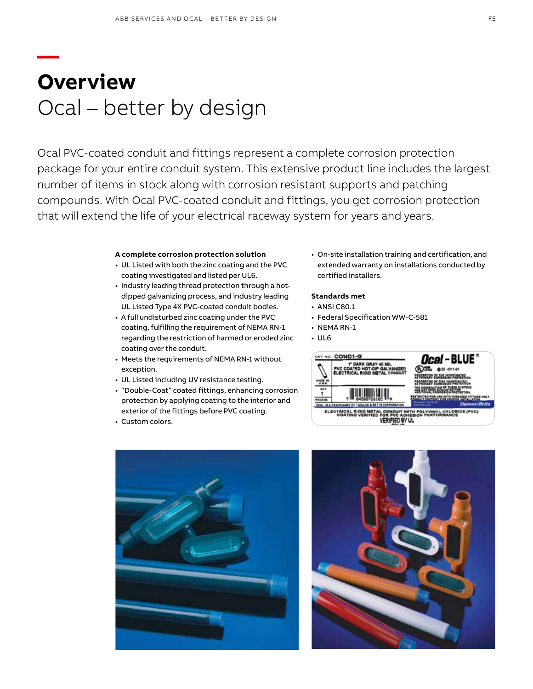## **— Overview** Ocal – better by design

Ocal PVC-coated conduit and fittings represent a complete corrosion protection package for your entire conduit system. This extensive product line includes the largest number of items in stock along with corrosion resistant supports and patching compounds. With Ocal PVC-coated conduit and fittings, you get corrosion protection that will extend the life of your electrical raceway system for years and years.

#### **A complete corrosion protection solution**

- UL Listed with both the zinc coating and the PVC coating investigated and listed per UL6.
- Industry leading thread protection through a hotdipped galvanizing process, and industry leading UL Listed Type 4X PVC-coated conduit bodies.
- A full undisturbed zinc coating under the PVC coating, fulfilling the requirement of NEMA RN-1 regarding the restriction of harmed or eroded zinc coating over the conduit.
- Meets the requirements of NEMA RN-1 without exception.
- UL Listed including UV resistance testing.
- "Double-Coat" coated fittings, enhancing corrosion protection by applying coating to the interior and exterior of the fittings before PVC coating.
- Custom colors.

• On-site installation training and certification, and extended warranty on installations conducted by certified installers.

### **Standards met**

- ANSI C80.1
- Federal Specification WW-C-581
- NEMA RN-1
- UL6





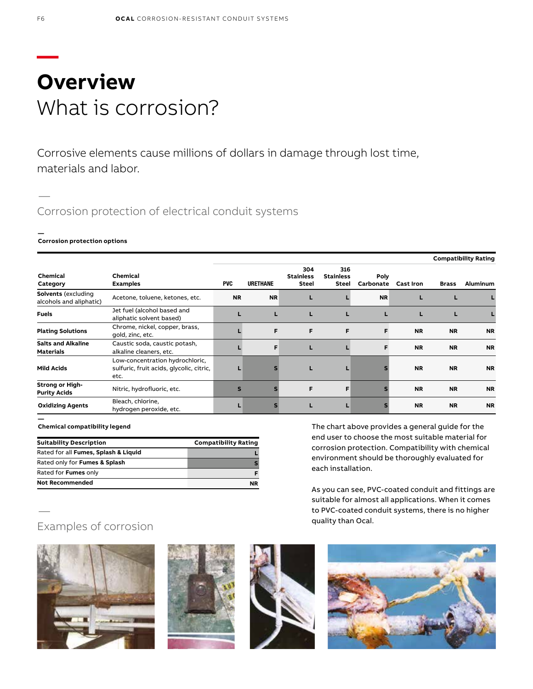## **— Overview** What is corrosion?

Corrosive elements cause millions of dollars in damage through lost time, materials and labor.

### Corrosion protection of electrical conduit systems

#### **— Corrosion protection options**

|                                                       |                                                                                     | <b>Compatibility Rating</b> |                 |                                         |                                         |                   |                  |              |           |
|-------------------------------------------------------|-------------------------------------------------------------------------------------|-----------------------------|-----------------|-----------------------------------------|-----------------------------------------|-------------------|------------------|--------------|-----------|
| Chemical<br>Category                                  | Chemical<br><b>Examples</b>                                                         | <b>PVC</b>                  | <b>URETHANE</b> | 304<br><b>Stainless</b><br><b>Steel</b> | 316<br><b>Stainless</b><br><b>Steel</b> | Poly<br>Carbonate | <b>Cast Iron</b> | <b>Brass</b> | Aluminum  |
| <b>Solvents</b> (excluding<br>alcohols and aliphatic) | Acetone, toluene, ketones, etc.                                                     | <b>NR</b>                   | <b>NR</b>       | ш                                       |                                         | <b>NR</b>         | L                |              |           |
| <b>Fuels</b>                                          | Jet fuel (alcohol based and<br>aliphatic solvent based)                             |                             |                 | L                                       | L                                       |                   | L                | L            |           |
| <b>Plating Solutions</b>                              | Chrome, nickel, copper, brass,<br>gold, zinc, etc.                                  |                             | F               | F                                       | F                                       | F                 | <b>NR</b>        | <b>NR</b>    | <b>NR</b> |
| <b>Salts and Alkaline</b><br>Materials                | Caustic soda, caustic potash,<br>alkaline cleaners, etc.                            |                             | F               | L                                       |                                         | F                 | <b>NR</b>        | <b>NR</b>    | <b>NR</b> |
| <b>Mild Acids</b>                                     | Low-concentration hydrochloric,<br>sulfuric, fruit acids, glycolic, citric,<br>etc. |                             |                 | L                                       | L                                       |                   | <b>NR</b>        | <b>NR</b>    | <b>NR</b> |
| <b>Strong or High-</b><br><b>Purity Acids</b>         | Nitric, hydrofluoric, etc.                                                          | $\mathbf{s}$                |                 | F                                       | F                                       |                   | <b>NR</b>        | <b>NR</b>    | <b>NR</b> |
| <b>Oxidizing Agents</b>                               | Bleach, chlorine,<br>hydrogen peroxide, etc.                                        |                             |                 |                                         | L                                       |                   | <b>NR</b>        | <b>NR</b>    | <b>NR</b> |

#### **Chemical compatibility legend**

| <b>Suitability Description</b>       | <b>Compatibility Rating</b> |
|--------------------------------------|-----------------------------|
| Rated for all Fumes, Splash & Liquid |                             |
| Rated only for Fumes & Splash        |                             |
| Rated for Fumes only                 |                             |
| <b>Not Recommended</b>               | <b>NR</b>                   |

The chart above provides a general guide for the end user to choose the most suitable material for corrosion protection. Compatibility with chemical environment should be thoroughly evaluated for each installation.

As you can see, PVC-coated conduit and fittings are suitable for almost all applications. When it comes to PVC-coated conduit systems, there is no higher quality than Ocal.

### Examples of corrosion

—

**—**









—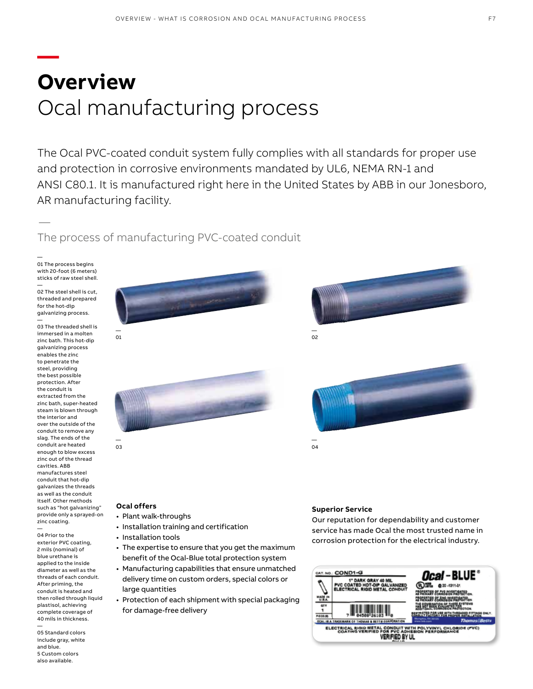## **— Overview** Ocal manufacturing process

The Ocal PVC-coated conduit system fully complies with all standards for proper use and protection in corrosive environments mandated by UL6, NEMA RN-1 and ANSI C80.1. It is manufactured right here in the United States by ABB in our Jonesboro, AR manufacturing facility.

The process of manufacturing PVC-coated conduit

— 01 The process begins with 20-foot (6 meters) sticks of raw steel shell.

—

— 02 The steel shell is cut, threaded and prepared for the hot-dip galvanizing process. —

03 The threaded shell is immersed in a molten zinc bath. This hot-dip galvanizing process enables the zinc to penetrate the steel, providing the best possible protection. After the conduit is extracted from the zinc bath, super-heated steam is blown through the interior and over the outside of the conduit to remove any slag. The ends of the conduit are heated enough to blow excess zinc out of the thread cavities. ABB manufactures steel conduit that hot-dip galvanizes the threads as well as the conduit itself. Other methods such as "hot galvanizing" provide only a sprayed-on zinc coating.

— 04 Prior to the exterior PVC coating, 2 mils (nominal) of blue urethane is applied to the inside diameter as well as the threads of each conduit. After priming, the conduit is heated and then rolled through liquid plastisol, achieving complete coverage of 40 mils in thickness. —

05 Standard colors include gray, white and blue. 5 Custom colors also available.





#### **Ocal offers**

- Plant walk-throughs
- Installation training and certification
- Installation tools
- The expertise to ensure that you get the maximum benefit of the Ocal-Blue total protection system
- Manufacturing capabilities that ensure unmatched delivery time on custom orders, special colors or large quantities
- Protection of each shipment with special packaging for damage-free delivery

#### **Superior Service**

Our reputation for dependability and customer service has made Ocal the most trusted name in corrosion protection for the electrical industry.

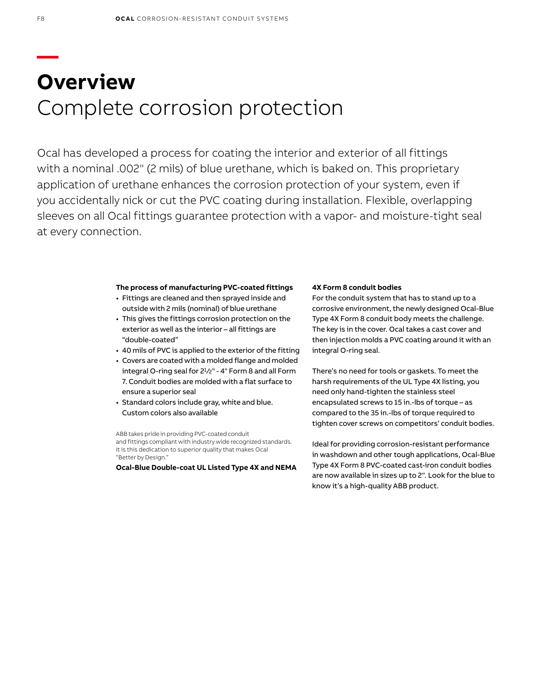## **— Overview** Complete corrosion protection

Ocal has developed a process for coating the interior and exterior of all fittings with a nominal .002" (2 mils) of blue urethane, which is baked on. This proprietary application of urethane enhances the corrosion protection of your system, even if you accidentally nick or cut the PVC coating during installation. Flexible, overlapping sleeves on all Ocal fittings guarantee protection with a vapor- and moisture-tight seal at every connection.

### **The process of manufacturing PVC-coated fittings**

- Fittings are cleaned and then sprayed inside and outside with 2 mils (nominal) of blue urethane
- This gives the fittings corrosion protection on the exterior as well as the interior – all fittings are "double-coated"
- 40 mils of PVC is applied to the exterior of the fitting
- Covers are coated with a molded flange and molded integral O-ring seal for 2<sup>1</sup>/2" - 4" Form 8 and all Form 7. Conduit bodies are molded with a flat surface to ensure a superior seal
- Standard colors include gray, white and blue. Custom colors also available

ABB takes pride in providing PVC-coated conduit and fittings compliant with industry wide recognized standards. It is this dedication to superior quality that makes Ocal "Better by Design."

**Ocal-Blue Double-coat UL Listed Type 4X and NEMA** 

### **4X Form 8 conduit bodies**

For the conduit system that has to stand up to a corrosive environment, the newly designed Ocal-Blue Type 4X Form 8 conduit body meets the challenge. The key is in the cover. Ocal takes a cast cover and then injection molds a PVC coating around it with an integral O-ring seal.

There's no need for tools or gaskets. To meet the harsh requirements of the UL Type 4X listing, you need only hand-tighten the stainless steel encapsulated screws to 15 in.-lbs of torque – as compared to the 35 in.-lbs of torque required to tighten cover screws on competitors' conduit bodies.

Ideal for providing corrosion-resistant performance in washdown and other tough applications, Ocal-Blue Type 4X Form 8 PVC-coated cast-iron conduit bodies are now available in sizes up to 2". Look for the blue to know it's a high-quality ABB product.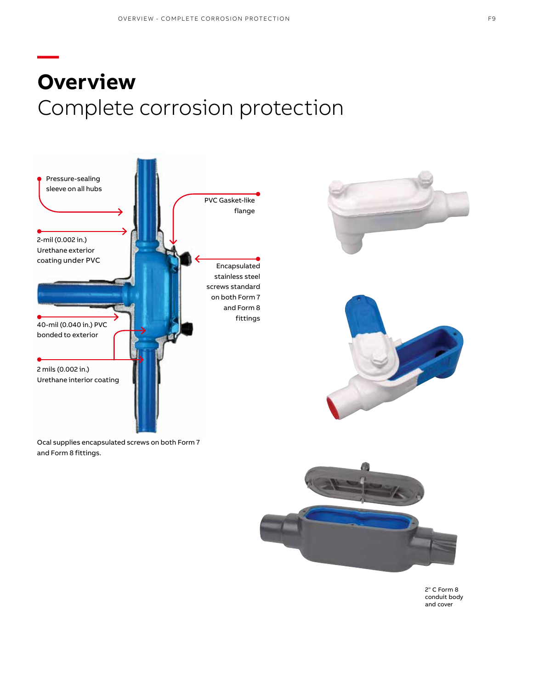# **— Overview** Complete corrosion protection



Ocal supplies encapsulated screws on both Form 7 and Form 8 fittings.







2" C Form 8 conduit body and cover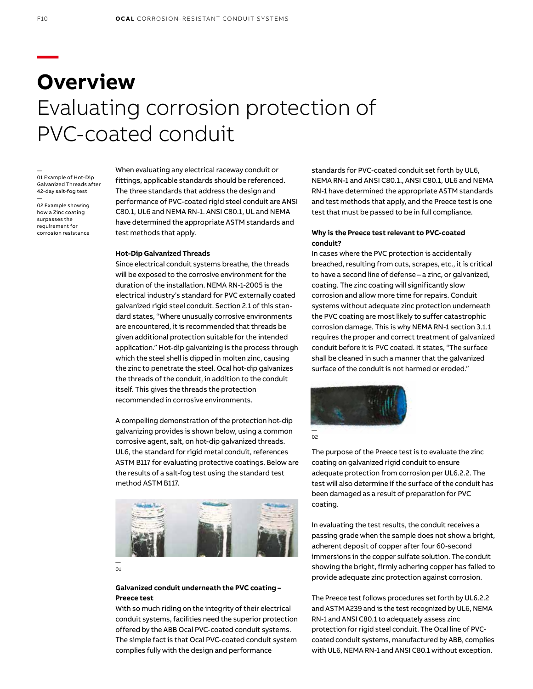# **— Overview** Evaluating corrosion protection of PVC-coated conduit

— 01 Example of Hot-Dip Galvanized Threads after 42-day salt-fog test

— 02 Example showing how a Zinc coating surpasses the requirement for corrosion resistance When evaluating any electrical raceway conduit or fittings, applicable standards should be referenced. The three standards that address the design and performance of PVC-coated rigid steel conduit are ANSI C80.1, UL6 and NEMA RN-1. ANSI C80.1, UL and NEMA have determined the appropriate ASTM standards and test methods that apply.

#### **Hot-Dip Galvanized Threads**

Since electrical conduit systems breathe, the threads will be exposed to the corrosive environment for the duration of the installation. NEMA RN-1-2005 is the electrical industry's standard for PVC externally coated galvanized rigid steel conduit. Section 2.1 of this standard states, "Where unusually corrosive environments are encountered, it is recommended that threads be given additional protection suitable for the intended application." Hot-dip galvanizing is the process through which the steel shell is dipped in molten zinc, causing the zinc to penetrate the steel. Ocal hot-dip galvanizes the threads of the conduit, in addition to the conduit itself. This gives the threads the protection recommended in corrosive environments.

A compelling demonstration of the protection hot-dip galvanizing provides is shown below, using a common corrosive agent, salt, on hot-dip galvanized threads. UL6, the standard for rigid metal conduit, references ASTM B117 for evaluating protective coatings. Below are the results of a salt-fog test using the standard test method ASTM B117.



— 01

### **Galvanized conduit underneath the PVC coating – Preece test**

With so much riding on the integrity of their electrical conduit systems, facilities need the superior protection offered by the ABB Ocal PVC-coated conduit systems. The simple fact is that Ocal PVC-coated conduit system complies fully with the design and performance

standards for PVC-coated conduit set forth by UL6, NEMA RN-1 and ANSI C80.1., ANSI C80.1, UL6 and NEMA RN-1 have determined the appropriate ASTM standards and test methods that apply, and the Preece test is one test that must be passed to be in full compliance.

### **Why is the Preece test relevant to PVC-coated conduit?**

In cases where the PVC protection is accidentally breached, resulting from cuts, scrapes, etc., it is critical to have a second line of defense – a zinc, or galvanized, coating. The zinc coating will significantly slow corrosion and allow more time for repairs. Conduit systems without adequate zinc protection underneath the PVC coating are most likely to suffer catastrophic corrosion damage. This is why NEMA RN-1 section 3.1.1 requires the proper and correct treatment of galvanized conduit before it is PVC coated. It states, "The surface shall be cleaned in such a manner that the galvanized surface of the conduit is not harmed or eroded."



coating.

The purpose of the Preece test is to evaluate the zinc coating on galvanized rigid conduit to ensure adequate protection from corrosion per UL6.2.2. The test will also determine if the surface of the conduit has been damaged as a result of preparation for PVC

In evaluating the test results, the conduit receives a passing grade when the sample does not show a bright, adherent deposit of copper after four 60-second immersions in the copper sulfate solution. The conduit showing the bright, firmly adhering copper has failed to provide adequate zinc protection against corrosion.

The Preece test follows procedures set forth by UL6.2.2 and ASTM A239 and is the test recognized by UL6, NEMA RN-1 and ANSI C80.1 to adequately assess zinc protection for rigid steel conduit. The Ocal line of PVCcoated conduit systems, manufactured by ABB, complies with UL6, NEMA RN-1 and ANSI C80.1 without exception.